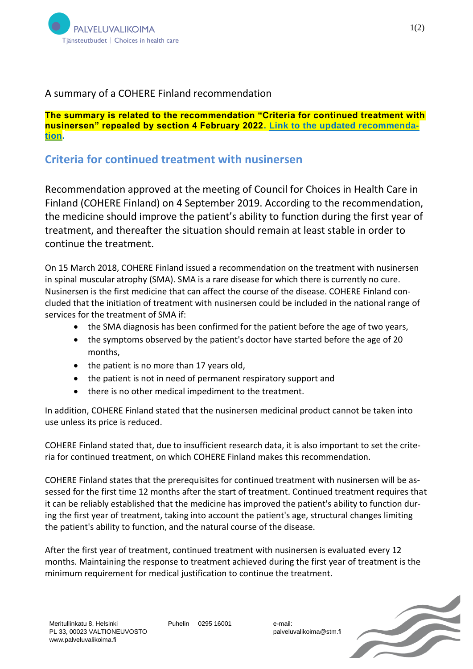

## A summary of a COHERE Finland recommendation

**The summary is related to the recommendation "Criteria for continued treatment with nusinersen" repealed by section 4 February 2022. [Link to the updated recommenda](https://palveluvalikoima.fi/nusinerseeni-sma-taudin-hoidossa-paivitetty-suositus)[tion.](https://palveluvalikoima.fi/nusinerseeni-sma-taudin-hoidossa-paivitetty-suositus)**

## **Criteria for continued treatment with nusinersen**

Recommendation approved at the meeting of Council for Choices in Health Care in Finland (COHERE Finland) on 4 September 2019. According to the recommendation, the medicine should improve the patient's ability to function during the first year of treatment, and thereafter the situation should remain at least stable in order to continue the treatment.

On 15 March 2018, COHERE Finland issued a recommendation on the treatment with nusinersen in spinal muscular atrophy (SMA). SMA is a rare disease for which there is currently no cure. Nusinersen is the first medicine that can affect the course of the disease. COHERE Finland concluded that the initiation of treatment with nusinersen could be included in the national range of services for the treatment of SMA if:

- the SMA diagnosis has been confirmed for the patient before the age of two years,
- the symptoms observed by the patient's doctor have started before the age of 20 months,
- the patient is no more than 17 years old,
- the patient is not in need of permanent respiratory support and
- there is no other medical impediment to the treatment.

In addition, COHERE Finland stated that the nusinersen medicinal product cannot be taken into use unless its price is reduced.

COHERE Finland stated that, due to insufficient research data, it is also important to set the criteria for continued treatment, on which COHERE Finland makes this recommendation.

COHERE Finland states that the prerequisites for continued treatment with nusinersen will be assessed for the first time 12 months after the start of treatment. Continued treatment requires that it can be reliably established that the medicine has improved the patient's ability to function during the first year of treatment, taking into account the patient's age, structural changes limiting the patient's ability to function, and the natural course of the disease.

After the first year of treatment, continued treatment with nusinersen is evaluated every 12 months. Maintaining the response to treatment achieved during the first year of treatment is the minimum requirement for medical justification to continue the treatment.